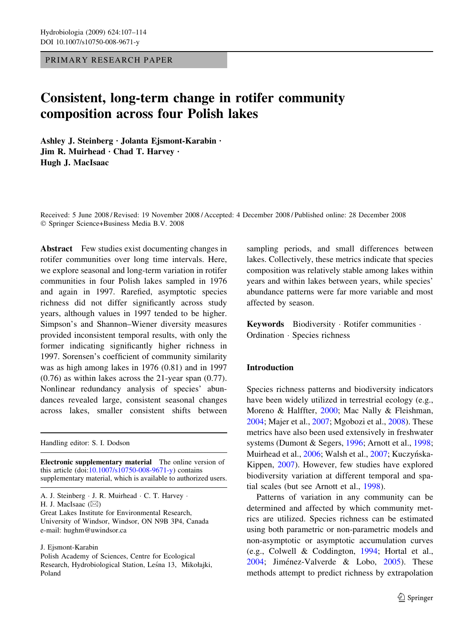PRIMARY RESEARCH PAPER

# Consistent, long-term change in rotifer community composition across four Polish lakes

Ashley J. Steinberg · Jolanta Ejsmont-Karabin · Jim R. Muirhead · Chad T. Harvey · Hugh J. MacIsaac

Received: 5 June 2008 / Revised: 19 November 2008 / Accepted: 4 December 2008 / Published online: 28 December 2008 Springer Science+Business Media B.V. 2008

Abstract Few studies exist documenting changes in rotifer communities over long time intervals. Here, we explore seasonal and long-term variation in rotifer communities in four Polish lakes sampled in 1976 and again in 1997. Rarefied, asymptotic species richness did not differ significantly across study years, although values in 1997 tended to be higher. Simpson's and Shannon–Wiener diversity measures provided inconsistent temporal results, with only the former indicating significantly higher richness in 1997. Sorensen's coefficient of community similarity was as high among lakes in 1976 (0.81) and in 1997 (0.76) as within lakes across the 21-year span (0.77). Nonlinear redundancy analysis of species' abundances revealed large, consistent seasonal changes across lakes, smaller consistent shifts between

Handling editor: S. I. Dodson

Electronic supplementary material The online version of this article (doi[:10.1007/s10750-008-9671-y\)](http://dx.doi.org/10.1007/s10750-008-9671-y) contains supplementary material, which is available to authorized users.

J. Ejsmont-Karabin

sampling periods, and small differences between lakes. Collectively, these metrics indicate that species composition was relatively stable among lakes within years and within lakes between years, while species' abundance patterns were far more variable and most affected by season.

Keywords Biodiversity · Rotifer communities · Ordination · Species richness

# Introduction

Species richness patterns and biodiversity indicators have been widely utilized in terrestrial ecology (e.g., Moreno & Halffter, [2000](#page-6-0); Mac Nally & Fleishman, [2004;](#page-6-0) Majer et al., [2007](#page-6-0); Mgobozi et al., [2008](#page-6-0)). These metrics have also been used extensively in freshwater systems (Dumont & Segers, [1996](#page-6-0); Arnott et al., [1998;](#page-6-0) Muirhead et al., [2006](#page-6-0); Walsh et al., [2007](#page-7-0); Kuczyńska-Kippen, [2007](#page-6-0)). However, few studies have explored biodiversity variation at different temporal and spatial scales (but see Arnott et al., [1998](#page-6-0)).

Patterns of variation in any community can be determined and affected by which community metrics are utilized. Species richness can be estimated using both parametric or non-parametric models and non-asymptotic or asymptotic accumulation curves (e.g., Colwell & Coddington, [1994](#page-6-0); Hortal et al., [2004;](#page-6-0) Jiménez-Valverde & Lobo, [2005\)](#page-6-0). These methods attempt to predict richness by extrapolation

A. J. Steinberg · J. R. Muirhead · C. T. Harvey · H. J. MacIsaac  $(\boxtimes)$ 

Great Lakes Institute for Environmental Research, University of Windsor, Windsor, ON N9B 3P4, Canada e-mail: hughm@uwindsor.ca

Polish Academy of Sciences, Centre for Ecological Research, Hydrobiological Station, Leśna 13, Mikołajki, Poland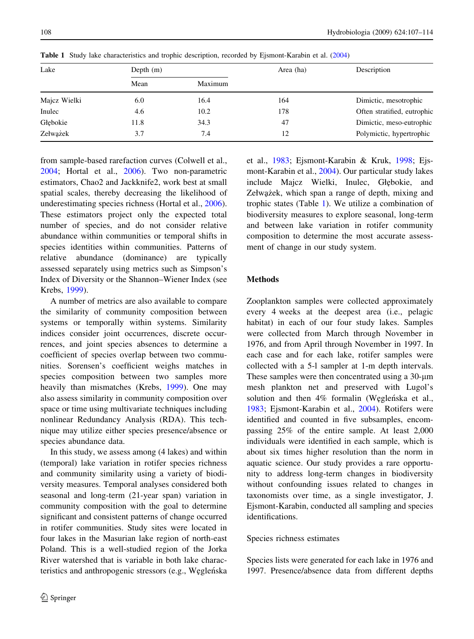| Lake         | Depth $(m)$ |         | Area (ha) | Description                 |  |
|--------------|-------------|---------|-----------|-----------------------------|--|
|              | Mean        | Maximum |           |                             |  |
| Majcz Wielki | 6.0         | 16.4    | 164       | Dimictic, mesotrophic       |  |
| Inulec       | 4.6         | 10.2    | 178       | Often stratified, eutrophic |  |
| Głębokie     | 11.8        | 34.3    | 47        | Dimictic, meso-eutrophic    |  |
| Zełważek     | 3.7         | 7.4     | 12        | Polymictic, hypertrophic    |  |

Table 1 Study lake characteristics and trophic description, recorded by Ejsmont-Karabin et al. [\(2004](#page-6-0))

from sample-based rarefaction curves (Colwell et al., [2004;](#page-6-0) Hortal et al., [2006\)](#page-6-0). Two non-parametric estimators, Chao2 and Jackknife2, work best at small spatial scales, thereby decreasing the likelihood of underestimating species richness (Hortal et al., [2006](#page-6-0)). These estimators project only the expected total number of species, and do not consider relative abundance within communities or temporal shifts in species identities within communities. Patterns of relative abundance (dominance) are typically assessed separately using metrics such as Simpson's Index of Diversity or the Shannon–Wiener Index (see Krebs, [1999](#page-6-0)).

A number of metrics are also available to compare the similarity of community composition between systems or temporally within systems. Similarity indices consider joint occurrences, discrete occurrences, and joint species absences to determine a coefficient of species overlap between two communities. Sorensen's coefficient weighs matches in species composition between two samples more heavily than mismatches (Krebs, [1999\)](#page-6-0). One may also assess similarity in community composition over space or time using multivariate techniques including nonlinear Redundancy Analysis (RDA). This technique may utilize either species presence/absence or species abundance data.

In this study, we assess among (4 lakes) and within (temporal) lake variation in rotifer species richness and community similarity using a variety of biodiversity measures. Temporal analyses considered both seasonal and long-term (21-year span) variation in community composition with the goal to determine significant and consistent patterns of change occurred in rotifer communities. Study sites were located in four lakes in the Masurian lake region of north-east Poland. This is a well-studied region of the Jorka River watershed that is variable in both lake characteristics and anthropogenic stressors (e.g., Węgleńska et al., [1983](#page-7-0); Ejsmont-Karabin & Kruk, [1998](#page-6-0); Ejsmont-Karabin et al., [2004](#page-6-0)). Our particular study lakes include Majcz Wielki, Inulec, Głębokie, and Zełwążek, which span a range of depth, mixing and trophic states (Table 1). We utilize a combination of biodiversity measures to explore seasonal, long-term and between lake variation in rotifer community composition to determine the most accurate assessment of change in our study system.

# Methods

Zooplankton samples were collected approximately every 4 weeks at the deepest area (i.e., pelagic habitat) in each of our four study lakes. Samples were collected from March through November in 1976, and from April through November in 1997. In each case and for each lake, rotifer samples were collected with a 5-l sampler at 1-m depth intervals. These samples were then concentrated using a 30-*l*m mesh plankton net and preserved with Lugol's solution and then 4% formalin (Węglen´ska et al., [1983;](#page-7-0) Ejsmont-Karabin et al., [2004\)](#page-6-0). Rotifers were identified and counted in five subsamples, encompassing 25% of the entire sample. At least 2,000 individuals were identified in each sample, which is about six times higher resolution than the norm in aquatic science. Our study provides a rare opportunity to address long-term changes in biodiversity without confounding issues related to changes in taxonomists over time, as a single investigator, J. Ejsmont-Karabin, conducted all sampling and species identifications.

## Species richness estimates

Species lists were generated for each lake in 1976 and 1997. Presence/absence data from different depths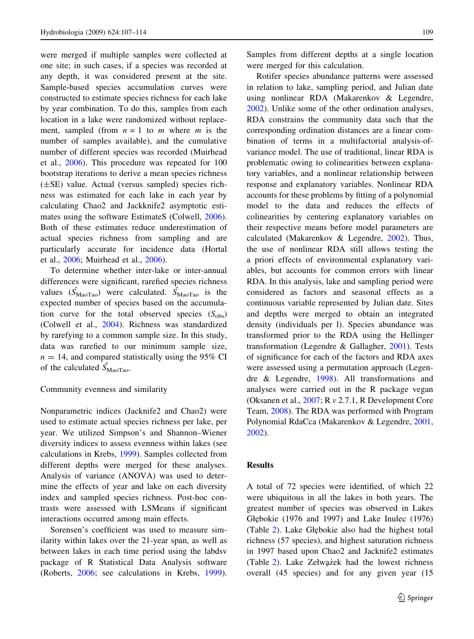were merged if multiple samples were collected at one site; in such cases, if a species was recorded at any depth, it was considered present at the site. Sample-based species accumulation curves were constructed to estimate species richness for each lake by year combination. To do this, samples from each location in a lake were randomized without replacement, sampled (from  $n = 1$  to m where m is the number of samples available), and the cumulative number of different species was recorded (Muirhead et al., [2006](#page-6-0)). This procedure was repeated for 100 bootstrap iterations to derive a mean species richness (±SE) value. Actual (versus sampled) species richness was estimated for each lake in each year by calculating Chao2 and Jackknife2 asymptotic estimates using the software EstimateS (Colwell, [2006](#page-6-0)). Both of these estimates reduce underestimation of actual species richness from sampling and are particularly accurate for incidence data (Hortal et al., [2006;](#page-6-0) Muirhead et al., [2006](#page-6-0)).

To determine whether inter-lake or inter-annual differences were significant, rarefied species richness values  $(\hat{S}_{\text{Maofrao}})$  were calculated.  $\hat{S}_{\text{Maofrao}}$  is the expected number of species based on the accumulation curve for the total observed species  $(S_{obs})$ (Colwell et al., [2004\)](#page-6-0). Richness was standardized by rarefying to a common sample size. In this study, data was rarefied to our minimum sample size,  $n = 14$ , and compared statistically using the 95% CI of the calculated  $\hat{S}_{\text{MaoTao}}$ .

#### Community evenness and similarity

Nonparametric indices (Jacknife2 and Chao2) were used to estimate actual species richness per lake, per year. We utilized Simpson's and Shannon–Wiener diversity indices to assess evenness within lakes (see calculations in Krebs, [1999\)](#page-6-0). Samples collected from different depths were merged for these analyses. Analysis of variance (ANOVA) was used to determine the effects of year and lake on each diversity index and sampled species richness. Post-hoc contrasts were assessed with LSMeans if significant interactions occurred among main effects.

Sorensen's coefficient was used to measure similarity within lakes over the 21-year span, as well as between lakes in each time period using the labdsv package of R Statistical Data Analysis software (Roberts, [2006;](#page-7-0) see calculations in Krebs, [1999](#page-6-0)). Samples from different depths at a single location were merged for this calculation.

Rotifer species abundance patterns were assessed in relation to lake, sampling period, and Julian date using nonlinear RDA (Makarenkov & Legendre, [2002\)](#page-6-0). Unlike some of the other ordination analyses, RDA constrains the community data such that the corresponding ordination distances are a linear combination of terms in a multifactorial analysis-ofvariance model. The use of traditional, linear RDA is problematic owing to colinearities between explanatory variables, and a nonlinear relationship between response and explanatory variables. Nonlinear RDA accounts for these problems by fitting of a polynomial model to the data and reduces the effects of colinearities by centering explanatory variables on their respective means before model parameters are calculated (Makarenkov & Legendre, [2002](#page-6-0)). Thus, the use of nonlinear RDA still allows testing the a priori effects of environmental explanatory variables, but accounts for common errors with linear RDA. In this analysis, lake and sampling period were considered as factors and seasonal effects as a continuous variable represented by Julian date. Sites and depths were merged to obtain an integrated density (individuals per l). Species abundance was transformed prior to the RDA using the Hellinger transformation (Legendre & Gallagher, [2001\)](#page-6-0). Tests of significance for each of the factors and RDA axes were assessed using a permutation approach (Legendre & Legendre, [1998](#page-6-0)). All transformations and analyses were carried out in the R package vegan (Oksanen et al., [2007;](#page-6-0) R v 2.7.1, R Development Core Team, [2008\)](#page-6-0). The RDA was performed with Program Polynomial RdaCca (Makarenkov & Legendre, [2001,](#page-6-0) [2002\)](#page-6-0).

## Results

A total of 72 species were identified, of which 22 were ubiquitous in all the lakes in both years. The greatest number of species was observed in Lakes Głębokie (1976 and 1997) and Lake Inulec (1976) (Table [2](#page-3-0)). Lake Głe˛bokie also had the highest total richness (57 species), and highest saturation richness in 1997 based upon Chao2 and Jacknife2 estimates (Table [2](#page-3-0)). Lake Zełważek had the lowest richness overall (45 species) and for any given year (15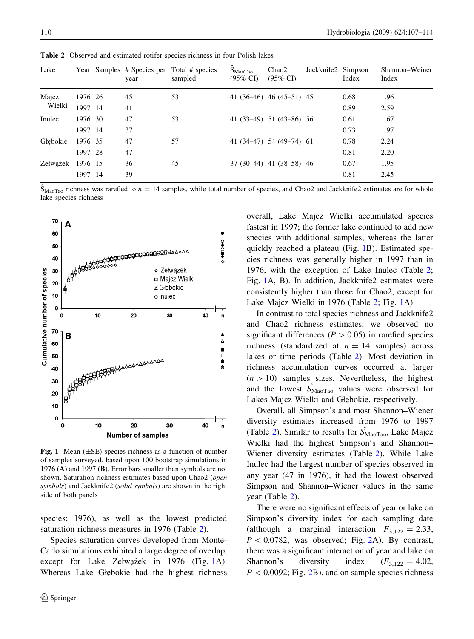| Lake            |         | year | Year Samples # Species per Total # species<br>sampled | $\hat{S}_{Mao Tao}$<br>$(95\% \text{ C}I)$ | Chao2<br>$(95\% \text{ CI})$ | Jackknife2 Simpson | Index | Shannon–Weiner<br>Index |
|-----------------|---------|------|-------------------------------------------------------|--------------------------------------------|------------------------------|--------------------|-------|-------------------------|
| Majcz<br>Wielki | 1976 26 | 45   | 53                                                    |                                            | 41 $(36-46)$ 46 $(45-51)$ 45 |                    | 0.68  | 1.96                    |
|                 | 1997 14 | 41   |                                                       |                                            |                              |                    | 0.89  | 2.59                    |
| Inulec          | 1976 30 | 47   | 53                                                    |                                            | 41 $(33-49)$ 51 $(43-86)$ 56 |                    | 0.61  | 1.67                    |
|                 | 1997 14 | 37   |                                                       |                                            |                              |                    | 0.73  | 1.97                    |
| Głebokie        | 1976 35 | 47   | 57                                                    |                                            | 41 $(34-47)$ 54 $(49-74)$ 61 |                    | 0.78  | 2.24                    |
|                 | 1997 28 | 47   |                                                       |                                            |                              |                    | 0.81  | 2.20                    |
| Zełważek        | 1976 15 | 36   | 45                                                    |                                            | 37 (30–44) 41 (38–58) 46     |                    | 0.67  | 1.95                    |
|                 | 1997 14 | 39   |                                                       |                                            |                              |                    | 0.81  | 2.45                    |

<span id="page-3-0"></span>Table 2 Observed and estimated rotifer species richness in four Polish lakes

 $\hat{S}_{M\text{aof}a}$  richness was rarefied to  $n = 14$  samples, while total number of species, and Chao2 and Jackknife2 estimates are for whole lake species richness



Fig. 1 Mean  $(\pm SE)$  species richness as a function of number of samples surveyed, based upon 100 bootstrap simulations in 1976 (A) and 1997 (B). Error bars smaller than symbols are not shown. Saturation richness estimates based upon Chao2 (open symbols) and Jackknife2 (solid symbols) are shown in the right side of both panels

species; 1976), as well as the lowest predicted saturation richness measures in 1976 (Table 2).

Species saturation curves developed from Monte-Carlo simulations exhibited a large degree of overlap, except for Lake Zełwążek in 1976 (Fig. 1A). Whereas Lake Głębokie had the highest richness overall, Lake Majcz Wielki accumulated species fastest in 1997; the former lake continued to add new species with additional samples, whereas the latter quickly reached a plateau (Fig. 1B). Estimated species richness was generally higher in 1997 than in 1976, with the exception of Lake Inulec (Table 2; Fig. 1A, B). In addition, Jackknife2 estimates were consistently higher than those for Chao2, except for Lake Majcz Wielki in 1976 (Table 2; Fig. 1A).

In contrast to total species richness and Jackknife2 and Chao2 richness estimates, we observed no significant differences ( $P > 0.05$ ) in rarefied species richness (standardized at  $n = 14$  samples) across lakes or time periods (Table 2). Most deviation in richness accumulation curves occurred at larger  $(n>10)$  samples sizes. Nevertheless, the highest and the lowest  $\hat{S}_{\text{MaoTao}}$  values were observed for Lakes Majcz Wielki and Głębokie, respectively.

Overall, all Simpson's and most Shannon–Wiener diversity estimates increased from 1976 to 1997 (Table 2). Similar to results for  $\hat{S}_{\text{Maofao}}$ , Lake Majcz Wielki had the highest Simpson's and Shannon– Wiener diversity estimates (Table 2). While Lake Inulec had the largest number of species observed in any year (47 in 1976), it had the lowest observed Simpson and Shannon–Wiener values in the same year (Table 2).

There were no significant effects of year or lake on Simpson's diversity index for each sampling date (although a marginal interaction  $F_{3,122} = 2.33$ ,  $P < 0.0782$ , was observed; Fig. [2A](#page-4-0)). By contrast, there was a significant interaction of year and lake on Shannon's diversity index  $(F_{3,122} = 4.02,$  $P < 0.0092$  $P < 0.0092$ ; Fig. 2B), and on sample species richness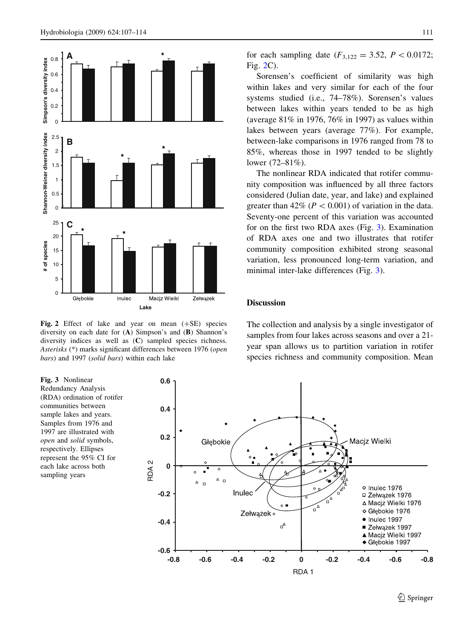<span id="page-4-0"></span>

Fig. 2 Effect of lake and year on mean  $(+SE)$  species diversity on each date for (A) Simpson's and (B) Shannon's diversity indices as well as (C) sampled species richness. Asterisks (\*) marks significant differences between 1976 (open bars) and 1997 (solid bars) within each lake

for each sampling date  $(F_{3,122} = 3.52, P < 0.0172;$ Fig. 2C).

Sorensen's coefficient of similarity was high within lakes and very similar for each of the four systems studied (i.e., 74–78%). Sorensen's values between lakes within years tended to be as high (average 81% in 1976, 76% in 1997) as values within lakes between years (average 77%). For example, between-lake comparisons in 1976 ranged from 78 to 85%, whereas those in 1997 tended to be slightly lower (72–81%).

The nonlinear RDA indicated that rotifer community composition was influenced by all three factors considered (Julian date, year, and lake) and explained greater than  $42\%$  ( $P < 0.001$ ) of variation in the data. Seventy-one percent of this variation was accounted for on the first two RDA axes (Fig. 3). Examination of RDA axes one and two illustrates that rotifer community composition exhibited strong seasonal variation, less pronounced long-term variation, and minimal inter-lake differences (Fig. 3).

## Discussion

The collection and analysis by a single investigator of samples from four lakes across seasons and over a 21 year span allows us to partition variation in rotifer species richness and community composition. Mean

Fig. 3 Nonlinear Redundancy Analysis (RDA) ordination of rotifer communities between sample lakes and years. Samples from 1976 and 1997 are illustrated with open and solid symbols, respectively. Ellipses represent the 95% CI for each lake across both sampling years

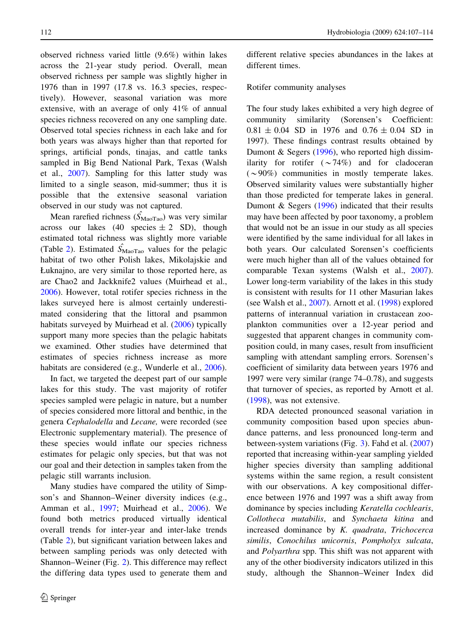observed richness varied little (9.6%) within lakes across the 21-year study period. Overall, mean observed richness per sample was slightly higher in 1976 than in 1997 (17.8 vs. 16.3 species, respectively). However, seasonal variation was more extensive, with an average of only 41% of annual species richness recovered on any one sampling date. Observed total species richness in each lake and for both years was always higher than that reported for springs, artificial ponds, tinajas, and cattle tanks sampled in Big Bend National Park, Texas (Walsh et al., [2007](#page-7-0)). Sampling for this latter study was limited to a single season, mid-summer; thus it is possible that the extensive seasonal variation observed in our study was not captured.

Mean rarefied richness  $(\hat{S}_{\text{MaoTao}})$  was very similar across our lakes (40 species  $\pm 2$  SD), though estimated total richness was slightly more variable (Table [2](#page-3-0)). Estimated  $\hat{S}_{\text{Maofao}}$  values for the pelagic habitat of two other Polish lakes, Mikolajskie and Łuknajno, are very similar to those reported here, as are Chao2 and Jackknife2 values (Muirhead et al., [2006\)](#page-6-0). However, total rotifer species richness in the lakes surveyed here is almost certainly underestimated considering that the littoral and psammon habitats surveyed by Muirhead et al. ([2006\)](#page-6-0) typically support many more species than the pelagic habitats we examined. Other studies have determined that estimates of species richness increase as more habitats are considered (e.g., Wunderle et al., [2006](#page-7-0)).

In fact, we targeted the deepest part of our sample lakes for this study. The vast majority of rotifer species sampled were pelagic in nature, but a number of species considered more littoral and benthic, in the genera Cephalodella and Lecane, were recorded (see Electronic supplementary material). The presence of these species would inflate our species richness estimates for pelagic only species, but that was not our goal and their detection in samples taken from the pelagic still warrants inclusion.

Many studies have compared the utility of Simpson's and Shannon–Weiner diversity indices (e.g., Amman et al., [1997;](#page-6-0) Muirhead et al., [2006](#page-6-0)). We found both metrics produced virtually identical overall trends for inter-year and inter-lake trends (Table [2](#page-3-0)), but significant variation between lakes and between sampling periods was only detected with Shannon–Weiner (Fig. [2](#page-4-0)). This difference may reflect the differing data types used to generate them and

different relative species abundances in the lakes at different times.

## Rotifer community analyses

The four study lakes exhibited a very high degree of community similarity (Sorensen's Coefficient:  $0.81 \pm 0.04$  SD in 1976 and  $0.76 \pm 0.04$  SD in 1997). These findings contrast results obtained by Dumont & Segers ([1996](#page-6-0)), who reported high dissimilarity for rotifer  $(\sim 74\%)$  and for cladoceran  $({\sim}90\%)$  communities in mostly temperate lakes. Observed similarity values were substantially higher than those predicted for temperate lakes in general. Dumont & Segers [\(1996](#page-6-0)) indicated that their results may have been affected by poor taxonomy, a problem that would not be an issue in our study as all species were identified by the same individual for all lakes in both years. Our calculated Sorensen's coefficients were much higher than all of the values obtained for comparable Texan systems (Walsh et al., [2007](#page-7-0)). Lower long-term variability of the lakes in this study is consistent with results for 11 other Masurian lakes (see Walsh et al., [2007\)](#page-7-0). Arnott et al. [\(1998](#page-6-0)) explored patterns of interannual variation in crustacean zooplankton communities over a 12-year period and suggested that apparent changes in community composition could, in many cases, result from insufficient sampling with attendant sampling errors. Sorensen's coefficient of similarity data between years 1976 and 1997 were very similar (range 74–0.78), and suggests that turnover of species, as reported by Arnott et al. [\(1998](#page-6-0)), was not extensive.

RDA detected pronounced seasonal variation in community composition based upon species abundance patterns, and less pronounced long-term and between-system variations (Fig. [3](#page-4-0)). Fahd et al. ([2007\)](#page-6-0) reported that increasing within-year sampling yielded higher species diversity than sampling additional systems within the same region, a result consistent with our observations. A key compositional difference between 1976 and 1997 was a shift away from dominance by species including Keratella cochlearis, Collotheca mutabilis, and Synchaeta kitina and increased dominance by K. quadrata, Trichocerca similis, Conochilus unicornis, Pompholyx sulcata, and Polyarthra spp. This shift was not apparent with any of the other biodiversity indicators utilized in this study, although the Shannon–Weiner Index did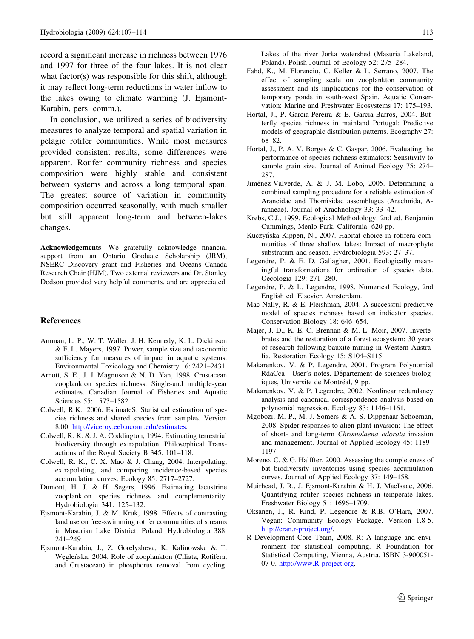<span id="page-6-0"></span>record a significant increase in richness between 1976 and 1997 for three of the four lakes. It is not clear what factor(s) was responsible for this shift, although it may reflect long-term reductions in water inflow to the lakes owing to climate warming (J. Ejsmont-Karabin, pers. comm.).

In conclusion, we utilized a series of biodiversity measures to analyze temporal and spatial variation in pelagic rotifer communities. While most measures provided consistent results, some differences were apparent. Rotifer community richness and species composition were highly stable and consistent between systems and across a long temporal span. The greatest source of variation in community composition occurred seasonally, with much smaller but still apparent long-term and between-lakes changes.

Acknowledgements We gratefully acknowledge financial support from an Ontario Graduate Scholarship (JRM), NSERC Discovery grant and Fisheries and Oceans Canada Research Chair (HJM). Two external reviewers and Dr. Stanley Dodson provided very helpful comments, and are appreciated.

#### References

- Amman, L. P., W. T. Waller, J. H. Kennedy, K. L. Dickinson & F. L. Mayers, 1997. Power, sample size and taxonomic sufficiency for measures of impact in aquatic systems. Environmental Toxicology and Chemistry 16: 2421–2431.
- Arnott, S. E., J. J. Magnuson & N. D. Yan, 1998. Crustacean zooplankton species richness: Single-and multiple-year estimates. Canadian Journal of Fisheries and Aquatic Sciences 55: 1573–1582.
- Colwell, R.K., 2006. EstimateS: Statistical estimation of species richness and shared species from samples. Version 8.00. [http://viceroy.eeb.uconn.edu/estimates.](http://viceroy.eeb.uconn.edu/estimates)
- Colwell, R. K. & J. A. Coddington, 1994. Estimating terrestrial biodiversity through extrapolation. Philosophical Transactions of the Royal Society B 345: 101–118.
- Colwell, R. K., C. X. Mao & J. Chang, 2004. Interpolating, extrapolating, and comparing incidence-based species accumulation curves. Ecology 85: 2717–2727.
- Dumont, H. J. & H. Segers, 1996. Estimating lacustrine zooplankton species richness and complementarity. Hydrobiologia 341: 125–132.
- Ejsmont-Karabin, J. & M. Kruk, 1998. Effects of contrasting land use on free-swimming rotifer communities of streams in Masurian Lake District, Poland. Hydrobiologia 388: 241–249.
- Ejsmont-Karabin, J., Z. Gorelysheva, K. Kalinowska & T. Węgleńska, 2004. Role of zooplankton (Ciliata, Rotifera, and Crustacean) in phosphorus removal from cycling:

Lakes of the river Jorka watershed (Masuria Lakeland, Poland). Polish Journal of Ecology 52: 275–284.

- Fahd, K., M. Florencio, C. Keller & L. Serrano, 2007. The effect of sampling scale on zooplankton community assessment and its implications for the conservation of temporary ponds in south-west Spain. Aquatic Conservation: Marine and Freshwater Ecosystems 17: 175–193.
- Hortal, J., P. Garcia-Pereira & E. Garcia-Barros, 2004. Butterfly species richness in mainland Portugal: Predictive models of geographic distribution patterns. Ecography 27: 68–82.
- Hortal, J., P. A. V. Borges & C. Gaspar, 2006. Evaluating the performance of species richness estimators: Sensitivity to sample grain size. Journal of Animal Ecology 75: 274– 287.
- Jiménez-Valverde, A. & J. M. Lobo, 2005. Determining a combined sampling procedure for a reliable estimation of Araneidae and Thomisidae assemblages (Arachnida, Aranaeae). Journal of Arachnology 33: 33–42.
- Krebs, C.J., 1999. Ecological Methodology, 2nd ed. Benjamin Cummings, Menlo Park, California. 620 pp.
- Kuczyńska-Kippen, N., 2007. Habitat choice in rotifera communities of three shallow lakes: Impact of macrophyte substratum and season. Hydrobiologia 593: 27–37.
- Legendre, P. & E. D. Gallagher, 2001. Ecologically meaningful transformations for ordination of species data. Oecologia 129: 271–280.
- Legendre, P. & L. Legendre, 1998. Numerical Ecology, 2nd English ed. Elsevier, Amsterdam.
- Mac Nally, R. & E. Fleishman, 2004. A successful predictive model of species richness based on indicator species. Conservation Biology 18: 646–654.
- Majer, J. D., K. E. C. Brennan & M. L. Moir, 2007. Invertebrates and the restoration of a forest ecosystem: 30 years of research following bauxite mining in Western Australia. Restoration Ecology 15: S104–S115.
- Makarenkov, V. & P. Legendre, 2001. Program Polynomial RdaCca-User's notes. Département de sciences biologiques, Université de Montréal, 9 pp.
- Makarenkov, V. & P. Legendre, 2002. Nonlinear redundancy analysis and canonical correspondence analysis based on polynomial regression. Ecology 83: 1146–1161.
- Mgobozi, M. P., M. J. Somers & A. S. Dippenaar-Schoeman, 2008. Spider responses to alien plant invasion: The effect of short- and long-term Chromolaena odorata invasion and management. Journal of Applied Ecology 45: 1189– 1197.
- Moreno, C. & G. Halffter, 2000. Assessing the completeness of bat biodiversity inventories using species accumulation curves. Journal of Applied Ecology 37: 149–158.
- Muirhead, J. R., J. Ejsmont-Karabin & H. J. MacIsaac, 2006. Quantifying rotifer species richness in temperate lakes. Freshwater Biology 51: 1696–1709.
- Oksanen, J., R. Kind, P. Legendre & R.B. O'Hara, 2007. Vegan: Community Ecology Package. Version 1.8-5. <http://cran.r-project.org/>.
- R Development Core Team, 2008. R: A language and environment for statistical computing. R Foundation for Statistical Computing, Vienna, Austria. ISBN 3-900051- 07-0. [http://www.R-project.org.](http://www.R-project.org)